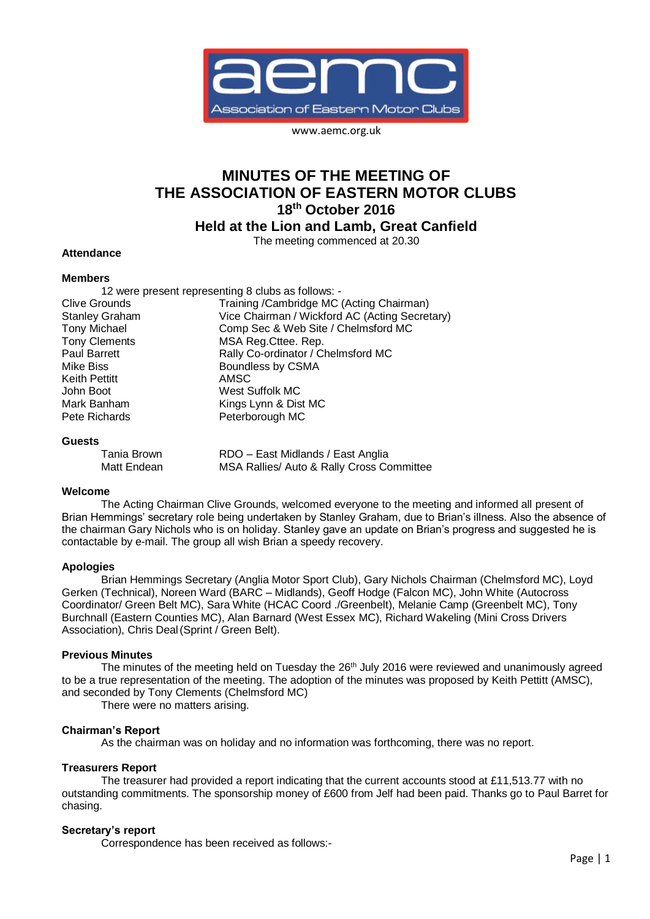

www.aemc.org.uk

# **MINUTES OF THE MEETING OF THE ASSOCIATION OF EASTERN MOTOR CLUBS 18th October 2016 Held at the Lion and Lamb, Great Canfield**

## The meeting commenced at 20.30

## **Attendance**

## **Members**

12 were present representing 8 clubs as follows: - Clive Grounds Training /Cambridge MC (Acting Chairman)<br>Stanley Graham Vice Chairman / Wickford AC (Acting Secret Vice Chairman / Wickford AC (Acting Secretary) Tony Michael Comp Sec & Web Site / Chelmsford MC Tony Clements **MSA** Reg.Cttee. Rep.<br>
Paul Barrett **MECO** Rally Co-ordinator / C Paul Barrett Rally Co-ordinator / Chelmsford MC<br>Mike Biss<br>Roundless by CSMA Boundless by CSMA Keith Pettitt **AMSC** John Boot West Suffolk MC Mark Banham Kings Lynn & Dist MC Pete Richards **Peterborough MC** 

#### **Guests**

Tania Brown RDO – East Midlands / East Anglia Matt Endean MSA Rallies/ Auto & Rally Cross Committee

## **Welcome**

The Acting Chairman Clive Grounds, welcomed everyone to the meeting and informed all present of Brian Hemmings' secretary role being undertaken by Stanley Graham, due to Brian's illness. Also the absence of the chairman Gary Nichols who is on holiday. Stanley gave an update on Brian's progress and suggested he is contactable by e-mail. The group all wish Brian a speedy recovery.

## **Apologies**

Brian Hemmings Secretary (Anglia Motor Sport Club), Gary Nichols Chairman (Chelmsford MC), Loyd Gerken (Technical), Noreen Ward (BARC – Midlands), Geoff Hodge (Falcon MC), John White (Autocross Coordinator/ Green Belt MC), Sara White (HCAC Coord ./Greenbelt), Melanie Camp (Greenbelt MC), Tony Burchnall (Eastern Counties MC), Alan Barnard (West Essex MC), Richard Wakeling (Mini Cross Drivers Association), Chris Deal(Sprint / Green Belt).

## **Previous Minutes**

The minutes of the meeting held on Tuesday the 26<sup>th</sup> July 2016 were reviewed and unanimously agreed to be a true representation of the meeting. The adoption of the minutes was proposed by Keith Pettitt (AMSC), and seconded by Tony Clements (Chelmsford MC)

There were no matters arising.

## **Chairman's Report**

As the chairman was on holiday and no information was forthcoming, there was no report.

## **Treasurers Report**

The treasurer had provided a report indicating that the current accounts stood at £11,513.77 with no outstanding commitments. The sponsorship money of £600 from Jelf had been paid. Thanks go to Paul Barret for chasing.

## **Secretary's report**

Correspondence has been received as follows:-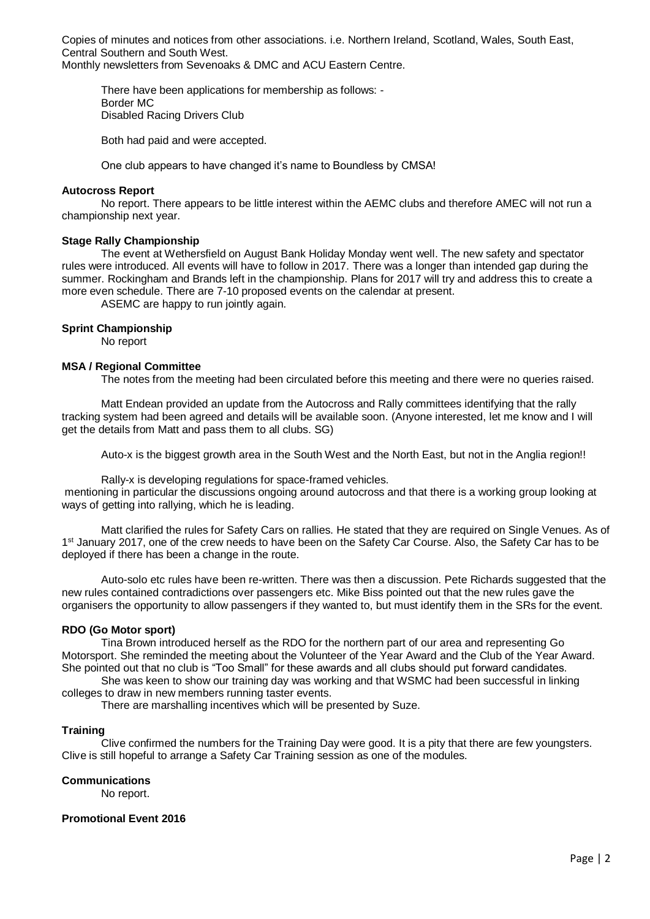Copies of minutes and notices from other associations. i.e. Northern Ireland, Scotland, Wales, South East, Central Southern and South West.

Monthly newsletters from Sevenoaks & DMC and ACU Eastern Centre.

There have been applications for membership as follows: - Border MC Disabled Racing Drivers Club

Both had paid and were accepted.

One club appears to have changed it's name to Boundless by CMSA!

## **Autocross Report**

No report. There appears to be little interest within the AEMC clubs and therefore AMEC will not run a championship next year.

## **Stage Rally Championship**

The event at Wethersfield on August Bank Holiday Monday went well. The new safety and spectator rules were introduced. All events will have to follow in 2017. There was a longer than intended gap during the summer. Rockingham and Brands left in the championship. Plans for 2017 will try and address this to create a more even schedule. There are 7-10 proposed events on the calendar at present.

ASEMC are happy to run jointly again.

## **Sprint Championship**

No report

## **MSA / Regional Committee**

The notes from the meeting had been circulated before this meeting and there were no queries raised.

Matt Endean provided an update from the Autocross and Rally committees identifying that the rally tracking system had been agreed and details will be available soon. (Anyone interested, let me know and I will get the details from Matt and pass them to all clubs. SG)

Auto-x is the biggest growth area in the South West and the North East, but not in the Anglia region!!

Rally-x is developing regulations for space-framed vehicles.

mentioning in particular the discussions ongoing around autocross and that there is a working group looking at ways of getting into rallying, which he is leading.

Matt clarified the rules for Safety Cars on rallies. He stated that they are required on Single Venues. As of 1<sup>st</sup> January 2017, one of the crew needs to have been on the Safety Car Course. Also, the Safety Car has to be deployed if there has been a change in the route.

Auto-solo etc rules have been re-written. There was then a discussion. Pete Richards suggested that the new rules contained contradictions over passengers etc. Mike Biss pointed out that the new rules gave the organisers the opportunity to allow passengers if they wanted to, but must identify them in the SRs for the event.

## **RDO (Go Motor sport)**

Tina Brown introduced herself as the RDO for the northern part of our area and representing Go Motorsport. She reminded the meeting about the Volunteer of the Year Award and the Club of the Year Award. She pointed out that no club is "Too Small" for these awards and all clubs should put forward candidates.

She was keen to show our training day was working and that WSMC had been successful in linking colleges to draw in new members running taster events.

There are marshalling incentives which will be presented by Suze.

## **Training**

Clive confirmed the numbers for the Training Day were good. It is a pity that there are few youngsters. Clive is still hopeful to arrange a Safety Car Training session as one of the modules.

## **Communications**

No report.

## **Promotional Event 2016**